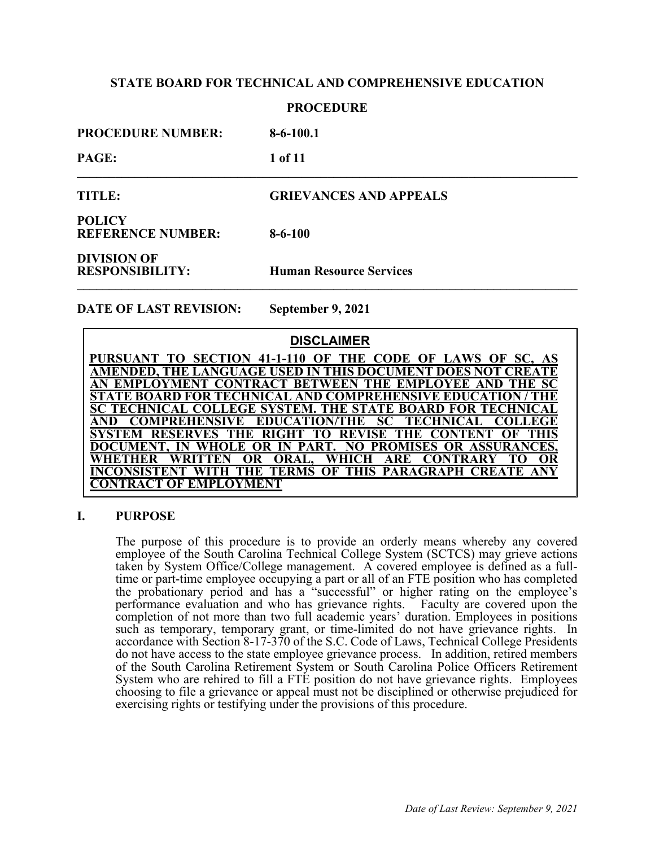### **PROCEDURE**

| <b>PROCEDURE NUMBER:</b>                     | $8-6-100.1$                    |
|----------------------------------------------|--------------------------------|
| <b>PAGE:</b>                                 | 1 of 11                        |
| <b>TITLE:</b>                                | <b>GRIEVANCES AND APPEALS</b>  |
| <b>POLICY</b><br><b>REFERENCE NUMBER:</b>    | $8-6-100$                      |
| <b>DIVISION OF</b><br><b>RESPONSIBILITY:</b> | <b>Human Resource Services</b> |

**DATE OF LAST REVISION: September 9, 2021**

# **DISCLAIMER**

**PURSUANT TO SECTION 41-1-110 OF THE CODE OF LAWS OF SC, AS AMENDED, THE LANGUAGE USED IN THIS DOCUMENT DOES NOT CREATE**  AN EMPLOYMENT CONTRACT BETWEEN THE EMPLOYEE AND THE **STATE BOARD FOR TECHNICAL AND COMPREHENSIVE EDUCATION / THE SC TECHNICAL COLLEGE SYSTEM. THE STATE BOARD FOR TECHNICAL AND COMPREHENSIVE EDUCATION/THE SC TECHNICAL COLLEGE SYSTEM RESERVES THE RIGHT TO REVISE THE CONTENT OF THIS DOCUMENT, IN WHOLE OR IN PART. NO PROMISES OR ASSURANCES, WHETHER WRITTEN OR ORAL, WHICH ARE CONTRARY TO OR INCONSISTENT WITH THE TERMS OF THIS PARAGRAPH CREATE ANY CONTRACT OF EMPLOYMENT**

# **I. PURPOSE**

The purpose of this procedure is to provide an orderly means whereby any covered employee of the South Carolina Technical College System (SCTCS) may grieve actions taken by System Office/College management. A covered employee is defined as a fulltime or part-time employee occupying a part or all of an FTE position who has completed the probationary period and has a "successful" or higher rating on the employee's performance evaluation and who has grievance rights. Faculty are covered upon the completion of not more than two full academic years' duration. Employees in positions such as temporary, temporary grant, or time-limited do not have grievance rights. In accordance with Section 8-17-370 of the S.C. Code of Laws, Technical College Presidents do not have access to the state employee grievance process. In addition, retired members of the South Carolina Retirement System or South Carolina Police Officers Retirement System who are rehired to fill a FTE position do not have grievance rights. Employees choosing to file a grievance or appeal must not be disciplined or otherwise prejudiced for exercising rights or testifying under the provisions of this procedure.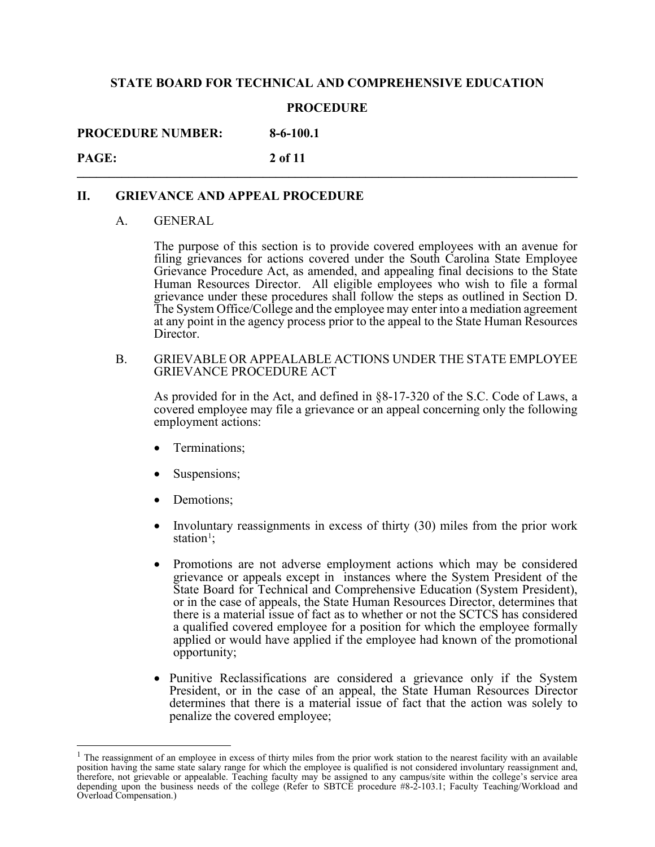### **PROCEDURE**

**PROCEDURE NUMBER: 8-6-100.1**

**PAGE:** 2 of 11

# **II. GRIEVANCE AND APPEAL PROCEDURE**

### A. GENERAL

The purpose of this section is to provide covered employees with an avenue for filing grievances for actions covered under the South Carolina State Employee Grievance Procedure Act, as amended, and appealing final decisions to the State Human Resources Director. All eligible employees who wish to file a formal grievance under these procedures shall follow the steps as outlined in Section D. The System Office/College and the employee may enter into a mediation agreement at any point in the agency process prior to the appeal to the State Human Resources Director.

B. GRIEVABLE OR APPEALABLE ACTIONS UNDER THE STATE EMPLOYEE GRIEVANCE PROCEDURE ACT

As provided for in the Act, and defined in §8-17-320 of the S.C. Code of Laws, a covered employee may file a grievance or an appeal concerning only the following employment actions:

- Terminations;
- Suspensions;
- Demotions;
- Involuntary reassignments in excess of thirty (30) miles from the prior work station<sup>[1](#page-1-0)</sup>;
- Promotions are not adverse employment actions which may be considered grievance or appeals except in instances where the System President of the State Board for Technical and Comprehensive Education (System President), or in the case of appeals, the State Human Resources Director, determines that there is a material issue of fact as to whether or not the SCTCS has considered a qualified covered employee for a position for which the employee formally applied or would have applied if the employee had known of the promotional opportunity;
- Punitive Reclassifications are considered a grievance only if the System President, or in the case of an appeal, the State Human Resources Director determines that there is a material issue of fact that the action was solely to penalize the covered employee;

<span id="page-1-0"></span> $<sup>1</sup>$  The reassignment of an employee in excess of thirty miles from the prior work station to the nearest facility with an available</sup> position having the same state salary range for which the employee is qualified is not considered involuntary reassignment and,<br>therefore, not grievable or appealable. Teaching faculty may be assigned to any campus/site wi depending upon the business needs of the college (Refer to SBTCE procedure #8-2-103.1; Faculty Teaching/Workload and Overload Compensation.)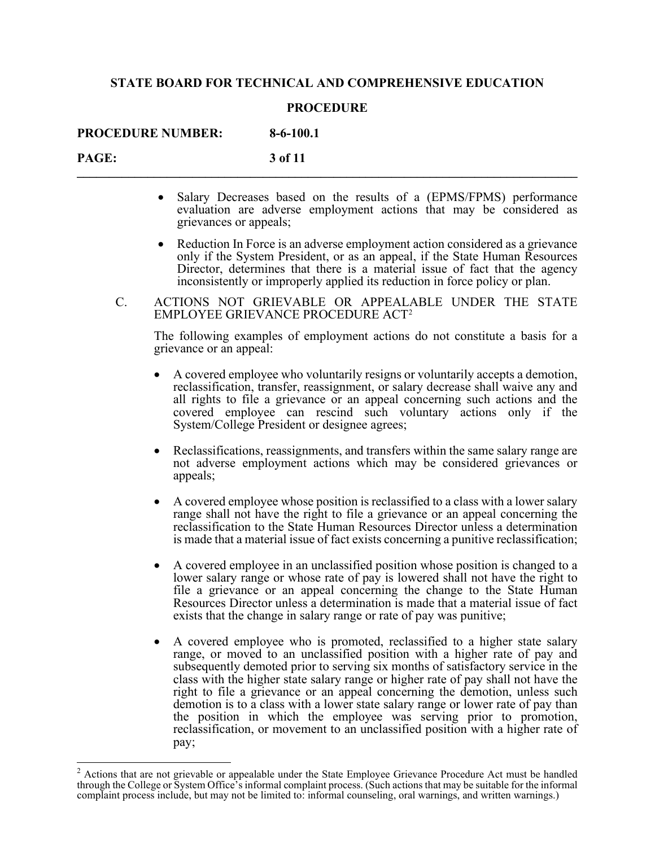### **PROCEDURE**

**PROCEDURE NUMBER: 8-6-100.1**

**PAGE:** 3 of 11

- Salary Decreases based on the results of a (EPMS/FPMS) performance evaluation are adverse employment actions that may be considered as grievances or appeals;
- Reduction In Force is an adverse employment action considered as a grievance only if the System President, or as an appeal, if the State Human Resources Director, determines that there is a material issue of fact that the agency inconsistently or improperly applied its reduction in force policy or plan.
- C. ACTIONS NOT GRIEVABLE OR APPEALABLE UNDER THE STATE EMPLOYEE GRIEVANCE PROCEDURE ACT[2](#page-2-0)

The following examples of employment actions do not constitute a basis for a grievance or an appeal:

- A covered employee who voluntarily resigns or voluntarily accepts a demotion, reclassification, transfer, reassignment, or salary decrease shall waive any and all rights to file a grievance or an appeal concerning such actions and the covered employee can rescind such voluntary actions only if the System/College President or designee agrees;
- Reclassifications, reassignments, and transfers within the same salary range are not adverse employment actions which may be considered grievances or appeals;
- A covered employee whose position is reclassified to a class with a lower salary range shall not have the right to file a grievance or an appeal concerning the reclassification to the State Human Resources Director unless a determination is made that a material issue of fact exists concerning a punitive reclassification;
- A covered employee in an unclassified position whose position is changed to a lower salary range or whose rate of pay is lowered shall not have the right to file a grievance or an appeal concerning the change to the State Human Resources Director unless a determination is made that a material issue of fact exists that the change in salary range or rate of pay was punitive;
- A covered employee who is promoted, reclassified to a higher state salary range, or moved to an unclassified position with a higher rate of pay and subsequently demoted prior to serving six months of satisfactory service in the class with the higher state salary range or higher rate of pay shall not have the right to file a grievance or an appeal concerning the demotion, unless such demotion is to a class with a lower state salary range or lower rate of pay than the position in which the employee was serving prior to promotion, reclassification, or movement to an unclassified position with a higher rate of pay;

<span id="page-2-0"></span><sup>2</sup> Actions that are not grievable or appealable under the State Employee Grievance Procedure Act must be handled through the College or System Office's informal complaint process. (Such actions that may be suitable for the informal complaint process include, but may not be limited to: informal counseling, oral warnings, and written warnings.)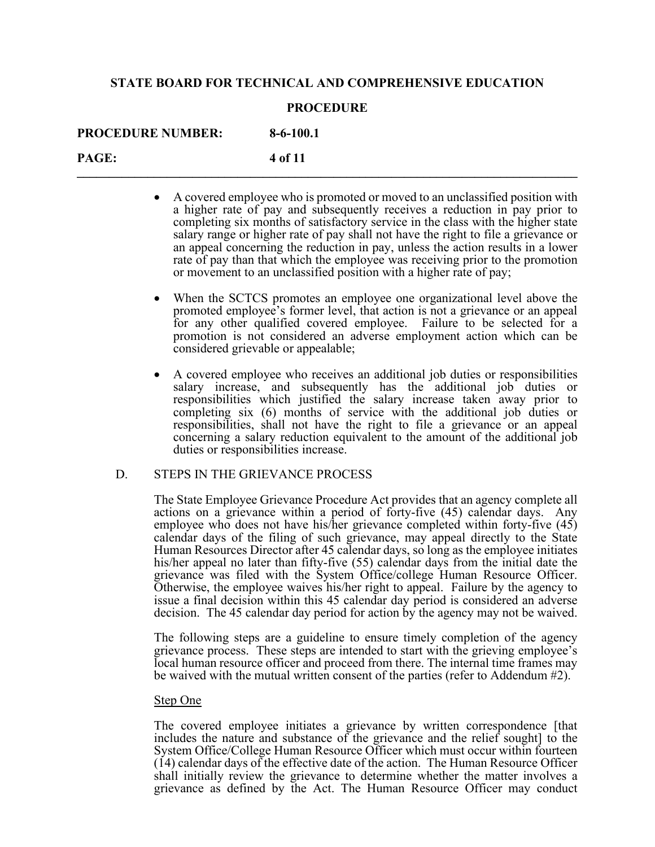### **PROCEDURE**

**PROCEDURE NUMBER: 8-6-100.1**

**PAGE:** 4 of 11

- A covered employee who is promoted or moved to an unclassified position with a higher rate of pay and subsequently receives a reduction in pay prior to completing six months of satisfactory service in the class with the higher state salary range or higher rate of pay shall not have the right to file a grievance or an appeal concerning the reduction in pay, unless the action results in a lower rate of pay than that which the employee was receiving prior to the promotion or movement to an unclassified position with a higher rate of pay;
- When the SCTCS promotes an employee one organizational level above the promoted employee's former level, that action is not a grievance or an appeal for any other qualified covered employee. Failure to be selected for a promotion is not considered an adverse employment action which can be considered grievable or appealable;
- A covered employee who receives an additional job duties or responsibilities salary increase, and subsequently has the additional job duties or responsibilities which justified the salary increase taken away prior to completing six (6) months of service with the additional job duties or responsibilities, shall not have the right to file a grievance or an appeal concerning a salary reduction equivalent to the amount of the additional job duties or responsibilities increase.

# D. STEPS IN THE GRIEVANCE PROCESS

The State Employee Grievance Procedure Act provides that an agency complete all actions on a grievance within a period of forty-five (45) calendar days. Any employee who does not have his/her grievance completed within forty-five (45) calendar days of the filing of such grievance, may appeal directly to the State Human Resources Director after 45 calendar days, so long as the employee initiates his/her appeal no later than fifty-five (55) calendar days from the initial date the grievance was filed with the System Office/college Human Resource Officer. Otherwise, the employee waives his/her right to appeal. Failure by the agency to issue a final decision within this 45 calendar day period is considered an adverse decision. The 45 calendar day period for action by the agency may not be waived.

The following steps are a guideline to ensure timely completion of the agency grievance process. These steps are intended to start with the grieving employee's local human resource officer and proceed from there. The internal time frames may be waived with the mutual written consent of the parties (refer to Addendum #2).

#### Step One

The covered employee initiates a grievance by written correspondence [that includes the nature and substance of the grievance and the relief sought] to the System Office/College Human Resource Officer which must occur within fourteen (14) calendar days of the effective date of the action. The Human Resource Officer shall initially review the grievance to determine whether the matter involves a grievance as defined by the Act. The Human Resource Officer may conduct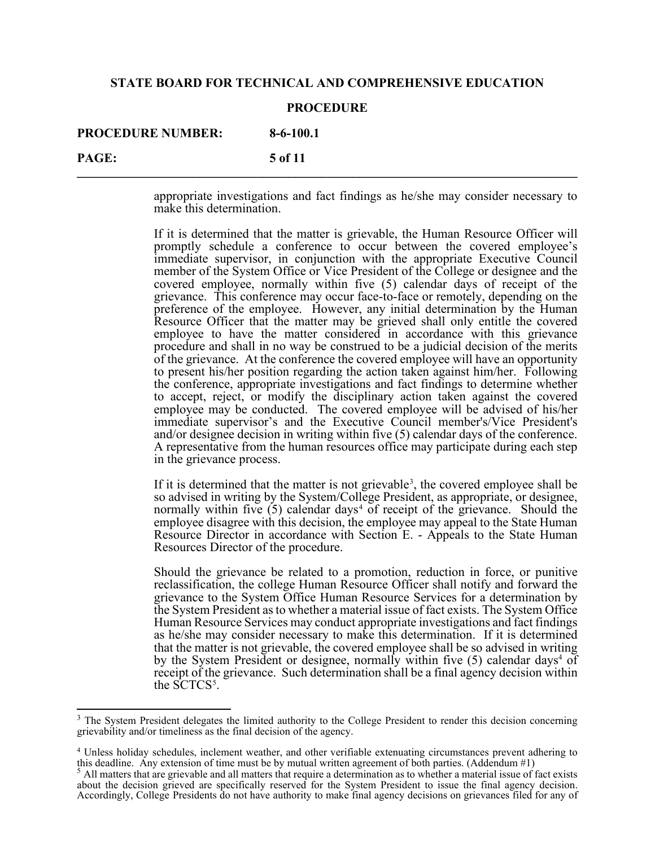#### **PROCEDURE**

**PROCEDURE NUMBER: 8-6-100.1**

**PAGE:** 5 of 11

appropriate investigations and fact findings as he/she may consider necessary to make this determination.

If it is determined that the matter is grievable, the Human Resource Officer will promptly schedule a conference to occur between the covered employee's immediate supervisor, in conjunction with the appropriate Executive Council member of the System Office or Vice President of the College or designee and the covered employee, normally within five (5) calendar days of receipt of the grievance. This conference may occur face-to-face or remotely, depending on the preference of the employee. However, any initial determination by the Human Resource Officer that the matter may be grieved shall only entitle the covered employee to have the matter considered in accordance with this grievance procedure and shall in no way be construed to be a judicial decision of the merits of the grievance. At the conference the covered employee will have an opportunity to present his/her position regarding the action taken against him/her. Following the conference, appropriate investigations and fact findings to determine whether to accept, reject, or modify the disciplinary action taken against the covered employee may be conducted. The covered employee will be advised of his/her immediate supervisor's and the Executive Council member's/Vice President's and/or designee decision in writing within five (5) calendar days of the conference. A representative from the human resources office may participate during each step in the grievance process.

<span id="page-4-0"></span>If it is determined that the matter is not grievable<sup>[3](#page-4-1)</sup>, the covered employee shall be so advised in writing by the System/College President, as appropriate, or designee, normally within five  $(5)$  calendar days<sup>[4](#page-4-2)</sup> of receipt of the grievance. Should the employee disagree with this decision, the employee may appeal to the State Human Resource Director in accordance with Section E. - Appeals to the State Human Resources Director of the procedure.

Should the grievance be related to a promotion, reduction in force, or punitive reclassification, the college Human Resource Officer shall notify and forward the grievance to the System Office Human Resource Services for a determination by the System President as to whether a material issue of fact exists. The System Office Human Resource Services may conduct appropriate investigations and fact findings as he/she may consider necessary to make this determination. If it is determined that the matter is not grievable, the covered employee shall be so advised in writing by the System President or designee, normally within five  $(5)$  calendar days<sup>4</sup> of receipt of the grievance. Such determination shall be a final agency decision within the  $\text{SCTCS}^5$  $\text{SCTCS}^5$ .

<span id="page-4-1"></span><sup>&</sup>lt;sup>3</sup> The System President delegates the limited authority to the College President to render this decision concerning grievability and/or timeliness as the final decision of the agency.

<span id="page-4-3"></span><span id="page-4-2"></span><sup>4</sup> Unless holiday schedules, inclement weather, and other verifiable extenuating circumstances prevent adhering to this deadline. Any extension of time must be by mutual written agreement of both parties. (Addendum #1)

<sup>5</sup> All matters that are grievable and all matters that require a determination as to whether a material issue of fact exists about the decision grieved are specifically reserved for the System President to issue the final agency decision. Accordingly, College Presidents do not have authority to make final agency decisions on grievances filed for any of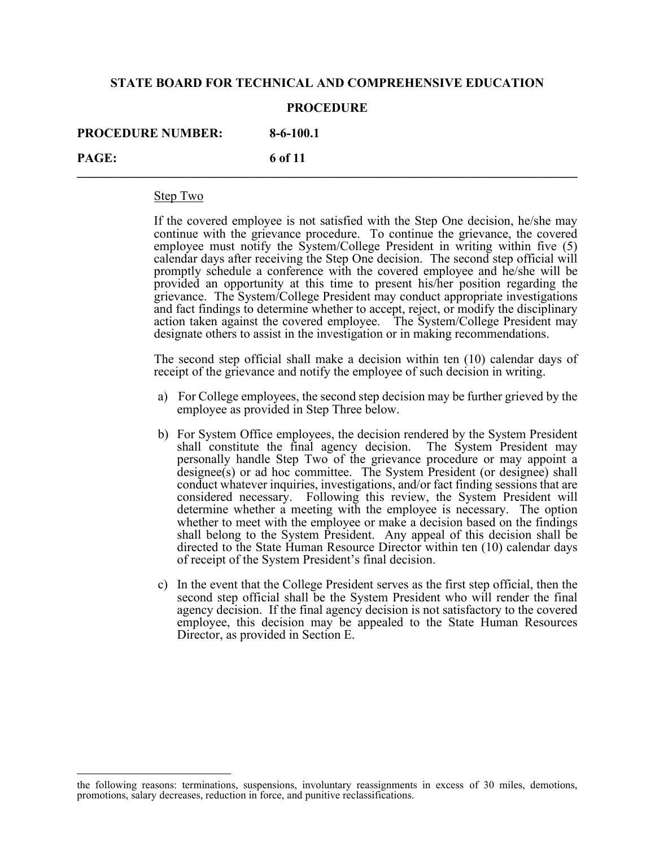#### **PROCEDURE**

**PROCEDURE NUMBER: 8-6-100.1**

**PAGE:** 6 of 11

#### Step Two

If the covered employee is not satisfied with the Step One decision, he/she may continue with the grievance procedure. To continue the grievance, the covered employee must notify the System/College President in writing within five (5) calendar days after receiving the Step One decision. The second step official will promptly schedule a conference with the covered employee and he/she will be provided an opportunity at this time to present his/her position regarding the grievance. The System/College President may conduct appropriate investigations and fact findings to determine whether to accept, reject, or modify the disciplinary action taken against the covered employee. The System/College President may designate others to assist in the investigation or in making recommendations.

The second step official shall make a decision within ten (10) calendar days of receipt of the grievance and notify the employee of such decision in writing.

- a) For College employees, the second step decision may be further grieved by the employee as provided in Step Three below.
- b) For System Office employees, the decision rendered by the System President shall constitute the final agency decision. The System President may personally handle Step Two of the grievance procedure or may appoint a designee(s) or ad hoc committee. The System President (or designee) shall conduct whatever inquiries, investigations, and/or fact finding sessions that are considered necessary. Following this review, the System President will determine whether a meeting with the employee is necessary. The option whether to meet with the employee or make a decision based on the findings shall belong to the System President. Any appeal of this decision shall be directed to the State Human Resource Director within ten (10) calendar days of receipt of the System President's final decision.
- c) In the event that the College President serves as the first step official, then the second step official shall be the System President who will render the final agency decision. If the final agency decision is not satisfactory to the covered employee, this decision may be appealed to the State Human Resources Director, as provided in Section E.

the following reasons: terminations, suspensions, involuntary reassignments in excess of 30 miles, demotions, promotions, salary decreases, reduction in force, and punitive reclassifications.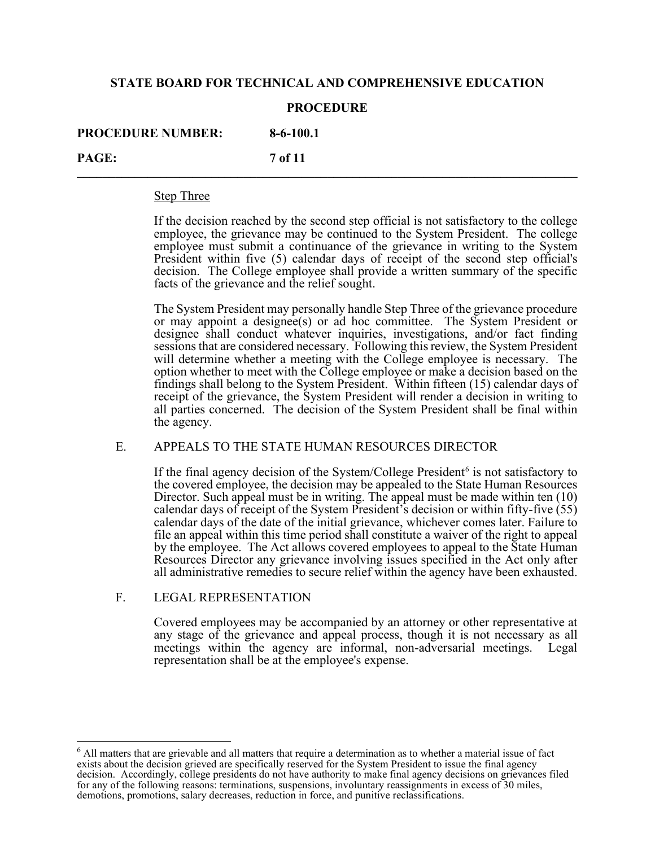### **PROCEDURE**

**PROCEDURE NUMBER: 8-6-100.1**

**PAGE:** 7 **of 11** *magnet***ic** *n* **<b>***n n n n n n n n n n n n n n n n n n n n n n n n n n n n n n n*

#### Step Three

If the decision reached by the second step official is not satisfactory to the college employee, the grievance may be continued to the System President. The college employee must submit a continuance of the grievance in writing to the System President within five (5) calendar days of receipt of the second step official's decision. The College employee shall provide a written summary of the specific facts of the grievance and the relief sought.

The System President may personally handle Step Three of the grievance procedure or may appoint a designee(s) or ad hoc committee. The System President or designee shall conduct whatever inquiries, investigations, and/or fact finding sessions that are considered necessary. Following this review, the System President will determine whether a meeting with the College employee is necessary. The option whether to meet with the College employee or make a decision based on the findings shall belong to the System President. Within fifteen (15) calendar days of receipt of the grievance, the System President will render a decision in writing to all parties concerned. The decision of the System President shall be final within the agency.

# E. APPEALS TO THE STATE HUMAN RESOURCES DIRECTOR

If the final agency decision of the System/College President<sup>[6](#page-6-0)</sup> is not satisfactory to the covered employee, the decision may be appealed to the State Human Resources Director. Such appeal must be in writing. The appeal must be made within ten (10) calendar days of receipt of the System President's decision or within fifty-five  $(55)$ calendar days of the date of the initial grievance, whichever comes later. Failure to file an appeal within this time period shall constitute a waiver of the right to appeal by the employee. The Act allows covered employees to appeal to the State Human Resources Director any grievance involving issues specified in the Act only after all administrative remedies to secure relief within the agency have been exhausted.

# F. LEGAL REPRESENTATION

Covered employees may be accompanied by an attorney or other representative at any stage of the grievance and appeal process, though it is not necessary as all meetings within the agency are informal, non-adversarial meetings. Legal representation shall be at the employee's expense.

<span id="page-6-0"></span> $6$  All matters that are grievable and all matters that require a determination as to whether a material issue of fact exists about the decision grieved are specifically reserved for the System President to issue the final agency decision. Accordingly, college presidents do not have authority to make final agency decisions on grievances filed for any of the following reasons: terminations, suspensions, involuntary reassignments in excess of 30 miles, demotions, promotions, salary decreases, reduction in force, and punitive reclassifications.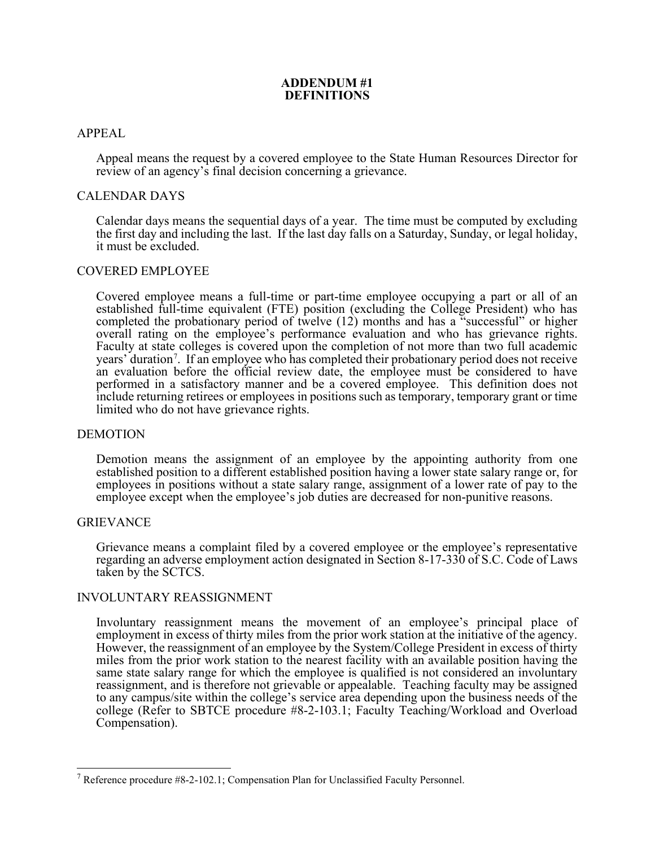# **ADDENDUM #1 DEFINITIONS**

# APPEAL

Appeal means the request by a covered employee to the State Human Resources Director for review of an agency's final decision concerning a grievance.

### CALENDAR DAYS

Calendar days means the sequential days of a year. The time must be computed by excluding the first day and including the last. If the last day falls on a Saturday, Sunday, or legal holiday, it must be excluded.

### COVERED EMPLOYEE

Covered employee means a full-time or part-time employee occupying a part or all of an established full-time equivalent (FTE) position (excluding the College President) who has completed the probationary period of twelve (12) months and has a "successful" or higher overall rating on the employee's performance evaluation and who has grievance rights. Faculty at state colleges is covered upon the completion of not more than two full academic years' duration[7](#page-7-0) . If an employee who has completed their probationary period does not receive an evaluation before the official review date, the employee must be considered to have performed in a satisfactory manner and be a covered employee. This definition does not include returning retirees or employees in positions such as temporary, temporary grant or time limited who do not have grievance rights.

# DEMOTION

Demotion means the assignment of an employee by the appointing authority from one established position to a different established position having a lower state salary range or, for employees in positions without a state salary range, assignment of a lower rate of pay to the employee except when the employee's job duties are decreased for non-punitive reasons.

#### GRIEVANCE

Grievance means a complaint filed by a covered employee or the employee's representative regarding an adverse employment action designated in Section 8-17-330 of S.C. Code of Laws taken by the SCTCS.

#### INVOLUNTARY REASSIGNMENT

Involuntary reassignment means the movement of an employee's principal place of employment in excess of thirty miles from the prior work station at the initiative of the agency. However, the reassignment of an employee by the System/College President in excess of thirty miles from the prior work station to the nearest facility with an available position having the same state salary range for which the employee is qualified is not considered an involuntary reassignment, and is therefore not grievable or appealable. Teaching faculty may be assigned to any campus/site within the college's service area depending upon the business needs of the college (Refer to SBTCE procedure #8-2-103.1; Faculty Teaching/Workload and Overload Compensation).

<span id="page-7-0"></span><sup>&</sup>lt;sup>7</sup> Reference procedure  $#8-2-102.1$ ; Compensation Plan for Unclassified Faculty Personnel.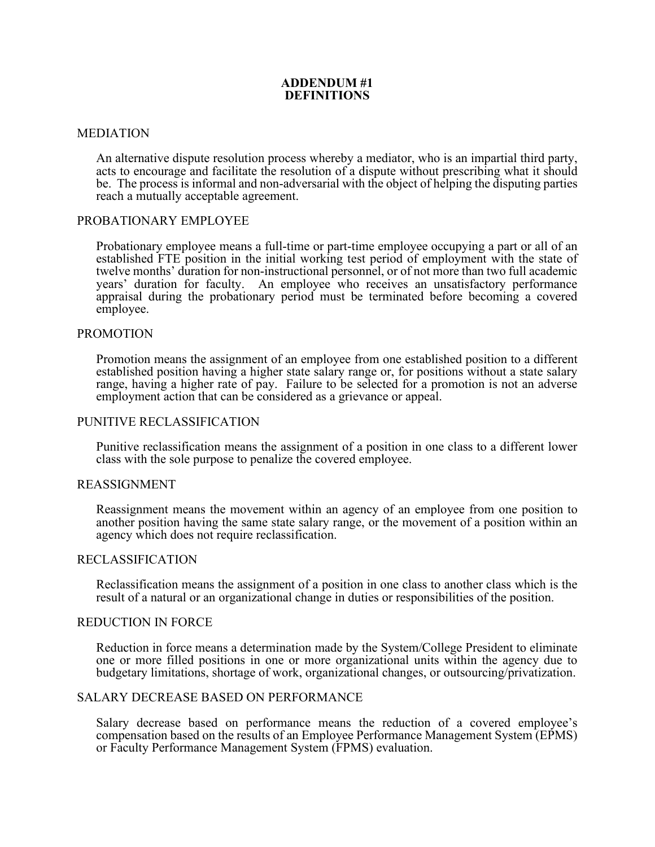# **ADDENDUM #1 DEFINITIONS**

### MEDIATION

An alternative dispute resolution process whereby a mediator, who is an impartial third party, acts to encourage and facilitate the resolution of a dispute without prescribing what it should be. The process is informal and non-adversarial with the object of helping the disputing parties reach a mutually acceptable agreement.

### PROBATIONARY EMPLOYEE

Probationary employee means a full-time or part-time employee occupying a part or all of an established FTE position in the initial working test period of employment with the state of twelve months' duration for non-instructional personnel, or of not more than two full academic years' duration for faculty. An employee who receives an unsatisfactory performance appraisal during the probationary period must be terminated before becoming a covered employee.

### PROMOTION

Promotion means the assignment of an employee from one established position to a different established position having a higher state salary range or, for positions without a state salary range, having a higher rate of pay. Failure to be selected for a promotion is not an adverse employment action that can be considered as a grievance or appeal.

#### PUNITIVE RECLASSIFICATION

Punitive reclassification means the assignment of a position in one class to a different lower class with the sole purpose to penalize the covered employee.

#### REASSIGNMENT

Reassignment means the movement within an agency of an employee from one position to another position having the same state salary range, or the movement of a position within an agency which does not require reclassification.

#### RECLASSIFICATION

Reclassification means the assignment of a position in one class to another class which is the result of a natural or an organizational change in duties or responsibilities of the position.

#### REDUCTION IN FORCE

Reduction in force means a determination made by the System/College President to eliminate one or more filled positions in one or more organizational units within the agency due to budgetary limitations, shortage of work, organizational changes, or outsourcing/privatization.

# SALARY DECREASE BASED ON PERFORMANCE

Salary decrease based on performance means the reduction of a covered employee's compensation based on the results of an Employee Performance Management System (EPMS) or Faculty Performance Management System (FPMS) evaluation.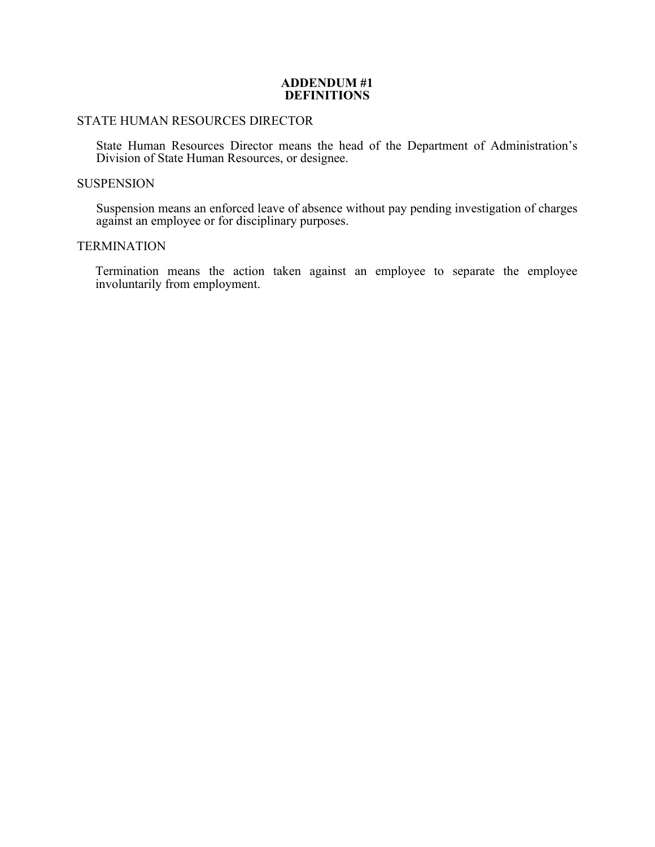### **ADDENDUM #1 DEFINITIONS**

# STATE HUMAN RESOURCES DIRECTOR

State Human Resources Director means the head of the Department of Administration's Division of State Human Resources, or designee.

# **SUSPENSION**

Suspension means an enforced leave of absence without pay pending investigation of charges against an employee or for disciplinary purposes.

# **TERMINATION**

Termination means the action taken against an employee to separate the employee involuntarily from employment.